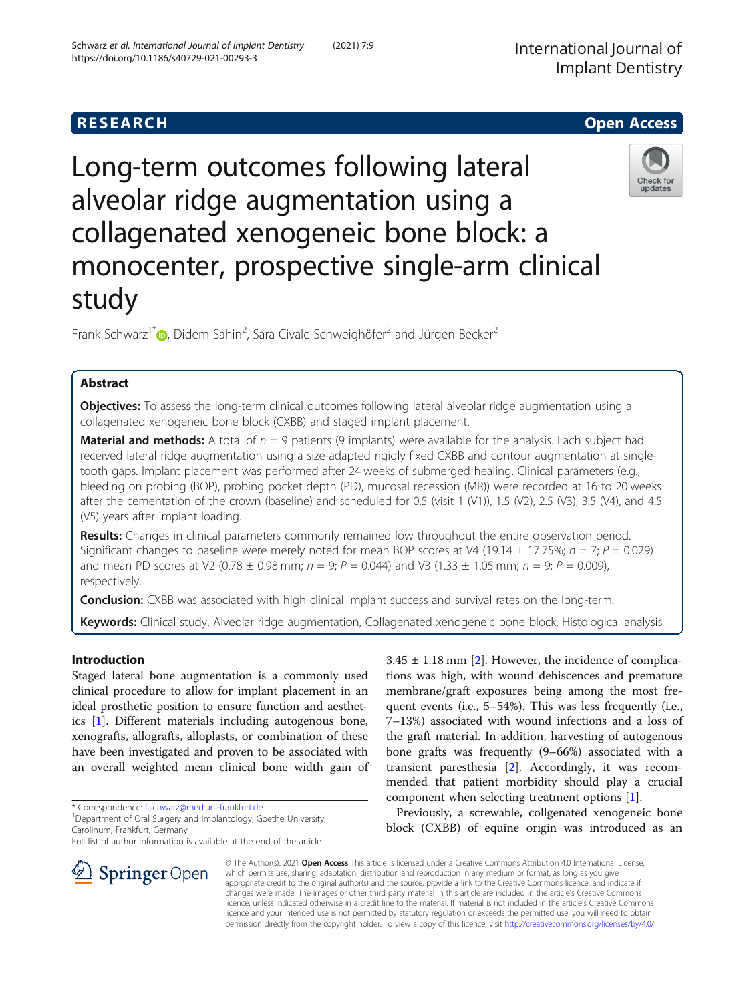## **RESEARCH CHEAR CHEAR CHEAR CHEAR CHEAR CHEAR CHEAR CHEAR CHEAR CHEAR CHEAR CHEAR CHEAR CHEAR CHEAR CHEAR CHEAR**

# Long-term outcomes following lateral alveolar ridge augmentation using a collagenated xenogeneic bone block: a monocenter, prospective single-arm clinical study

Frank Schwarz<sup>1[\\*](http://orcid.org/0000-0002-5873-9903)</sup> D, Didem Sahin<sup>2</sup>, Sara Civale-Schweighöfer<sup>2</sup> and Jürgen Becker<sup>2</sup>

## Abstract

**Objectives:** To assess the long-term clinical outcomes following lateral alveolar ridge augmentation using a collagenated xenogeneic bone block (CXBB) and staged implant placement.

**Material and methods:** A total of  $n = 9$  patients (9 implants) were available for the analysis. Each subject had received lateral ridge augmentation using a size-adapted rigidly fixed CXBB and contour augmentation at singletooth gaps. Implant placement was performed after 24 weeks of submerged healing. Clinical parameters (e.g., bleeding on probing (BOP), probing pocket depth (PD), mucosal recession (MR)) were recorded at 16 to 20 weeks after the cementation of the crown (baseline) and scheduled for 0.5 (visit 1 (V1)), 1.5 (V2), 2.5 (V3), 3.5 (V4), and 4.5 (V5) years after implant loading.

Results: Changes in clinical parameters commonly remained low throughout the entire observation period. Significant changes to baseline were merely noted for mean BOP scores at V4 (19.14  $\pm$  17.75%;  $n = 7; P = 0.029$ ) and mean PD scores at V2 (0.78  $\pm$  0.98 mm;  $n = 9$ ;  $P = 0.044$ ) and V3 (1.33  $\pm$  1.05 mm;  $n = 9$ ;  $P = 0.009$ ), respectively.

**Conclusion:** CXBB was associated with high clinical implant success and survival rates on the long-term.

Keywords: Clinical study, Alveolar ridge augmentation, Collagenated xenogeneic bone block, Histological analysis

## Introduction

Staged lateral bone augmentation is a commonly used clinical procedure to allow for implant placement in an ideal prosthetic position to ensure function and aesthetics [\[1](#page-4-0)]. Different materials including autogenous bone, xenografts, allografts, alloplasts, or combination of these have been investigated and proven to be associated with an overall weighted mean clinical bone width gain of

\* Correspondence: [f.schwarz@med.uni-frankfurt.de](mailto:f.schwarz@med.uni-frankfurt.de) <sup>1</sup>

SpringerOpen

<sup>1</sup> Department of Oral Surgery and Implantology, Goethe University, Carolinum, Frankfurt, Germany

Full list of author information is available at the end of the article

 $3.45 \pm 1.18$  mm [[2\]](#page-4-0). However, the incidence of complications was high, with wound dehiscences and premature membrane/graft exposures being among the most frequent events (i.e., 5–54%). This was less frequently (i.e., 7–13%) associated with wound infections and a loss of the graft material. In addition, harvesting of autogenous bone grafts was frequently (9–66%) associated with a transient paresthesia [[2](#page-4-0)]. Accordingly, it was recommended that patient morbidity should play a crucial component when selecting treatment options [[1\]](#page-4-0).

Previously, a screwable, collgenated xenogeneic bone block (CXBB) of equine origin was introduced as an

© The Author(s). 2021 Open Access This article is licensed under a Creative Commons Attribution 4.0 International License, which permits use, sharing, adaptation, distribution and reproduction in any medium or format, as long as you give appropriate credit to the original author(s) and the source, provide a link to the Creative Commons licence, and indicate if changes were made. The images or other third party material in this article are included in the article's Creative Commons licence, unless indicated otherwise in a credit line to the material. If material is not included in the article's Creative Commons licence and your intended use is not permitted by statutory regulation or exceeds the permitted use, you will need to obtain permission directly from the copyright holder. To view a copy of this licence, visit <http://creativecommons.org/licenses/by/4.0/>.





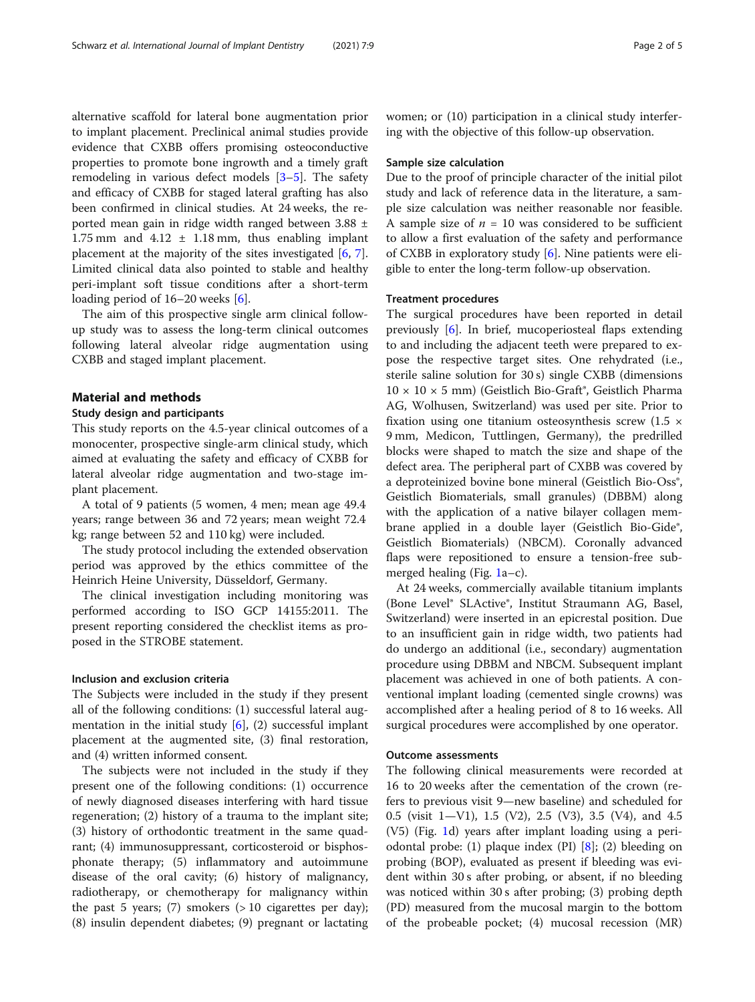alternative scaffold for lateral bone augmentation prior to implant placement. Preclinical animal studies provide evidence that CXBB offers promising osteoconductive properties to promote bone ingrowth and a timely graft remodeling in various defect models [[3](#page-4-0)–[5](#page-4-0)]. The safety and efficacy of CXBB for staged lateral grafting has also been confirmed in clinical studies. At 24 weeks, the reported mean gain in ridge width ranged between 3.88 ± 1.75 mm and  $4.12 \pm 1.18$  mm, thus enabling implant placement at the majority of the sites investigated  $[6, 7]$  $[6, 7]$  $[6, 7]$  $[6, 7]$  $[6, 7]$ . Limited clinical data also pointed to stable and healthy peri-implant soft tissue conditions after a short-term loading period of 16–20 weeks [[6](#page-4-0)].

The aim of this prospective single arm clinical followup study was to assess the long-term clinical outcomes following lateral alveolar ridge augmentation using CXBB and staged implant placement.

## Material and methods

## Study design and participants

This study reports on the 4.5-year clinical outcomes of a monocenter, prospective single-arm clinical study, which aimed at evaluating the safety and efficacy of CXBB for lateral alveolar ridge augmentation and two-stage implant placement.

A total of 9 patients (5 women, 4 men; mean age 49.4 years; range between 36 and 72 years; mean weight 72.4 kg; range between 52 and 110 kg) were included.

The study protocol including the extended observation period was approved by the ethics committee of the Heinrich Heine University, Düsseldorf, Germany.

The clinical investigation including monitoring was performed according to ISO GCP 14155:2011. The present reporting considered the checklist items as proposed in the STROBE statement.

## Inclusion and exclusion criteria

The Subjects were included in the study if they present all of the following conditions: (1) successful lateral augmentation in the initial study [[6\]](#page-4-0), (2) successful implant placement at the augmented site, (3) final restoration, and (4) written informed consent.

The subjects were not included in the study if they present one of the following conditions: (1) occurrence of newly diagnosed diseases interfering with hard tissue regeneration; (2) history of a trauma to the implant site; (3) history of orthodontic treatment in the same quadrant; (4) immunosuppressant, corticosteroid or bisphosphonate therapy; (5) inflammatory and autoimmune disease of the oral cavity; (6) history of malignancy, radiotherapy, or chemotherapy for malignancy within the past 5 years; (7) smokers  $(>10$  cigarettes per day); (8) insulin dependent diabetes; (9) pregnant or lactating

women; or (10) participation in a clinical study interfering with the objective of this follow-up observation.

#### Sample size calculation

Due to the proof of principle character of the initial pilot study and lack of reference data in the literature, a sample size calculation was neither reasonable nor feasible. A sample size of  $n = 10$  was considered to be sufficient to allow a first evaluation of the safety and performance of CXBB in exploratory study [\[6](#page-4-0)]. Nine patients were eligible to enter the long-term follow-up observation.

#### Treatment procedures

The surgical procedures have been reported in detail previously [\[6](#page-4-0)]. In brief, mucoperiosteal flaps extending to and including the adjacent teeth were prepared to expose the respective target sites. One rehydrated (i.e., sterile saline solution for 30 s) single CXBB (dimensions  $10 \times 10 \times 5$  mm) (Geistlich Bio-Graft<sup>®</sup>, Geistlich Pharma AG, Wolhusen, Switzerland) was used per site. Prior to fixation using one titanium osteosynthesis screw  $(1.5 \times$ 9 mm, Medicon, Tuttlingen, Germany), the predrilled blocks were shaped to match the size and shape of the defect area. The peripheral part of CXBB was covered by a deproteinized bovine bone mineral (Geistlich Bio-Oss<sup>®</sup>, Geistlich Biomaterials, small granules) (DBBM) along with the application of a native bilayer collagen membrane applied in a double layer (Geistlich Bio-Gide®, Geistlich Biomaterials) (NBCM). Coronally advanced flaps were repositioned to ensure a tension-free submerged healing (Fig. [1](#page-2-0)a–c).

At 24 weeks, commercially available titanium implants (Bone Level® SLActive®, Institut Straumann AG, Basel, Switzerland) were inserted in an epicrestal position. Due to an insufficient gain in ridge width, two patients had do undergo an additional (i.e., secondary) augmentation procedure using DBBM and NBCM. Subsequent implant placement was achieved in one of both patients. A conventional implant loading (cemented single crowns) was accomplished after a healing period of 8 to 16 weeks. All surgical procedures were accomplished by one operator.

#### Outcome assessments

The following clinical measurements were recorded at 16 to 20 weeks after the cementation of the crown (refers to previous visit 9—new baseline) and scheduled for 0.5 (visit 1—V1), 1.5 (V2), 2.5 (V3), 3.5 (V4), and 4.5 (V5) (Fig. [1d](#page-2-0)) years after implant loading using a periodontal probe: (1) plaque index (PI)  $[8]$  $[8]$ ; (2) bleeding on probing (BOP), evaluated as present if bleeding was evident within 30 s after probing, or absent, if no bleeding was noticed within 30 s after probing; (3) probing depth (PD) measured from the mucosal margin to the bottom of the probeable pocket; (4) mucosal recession (MR)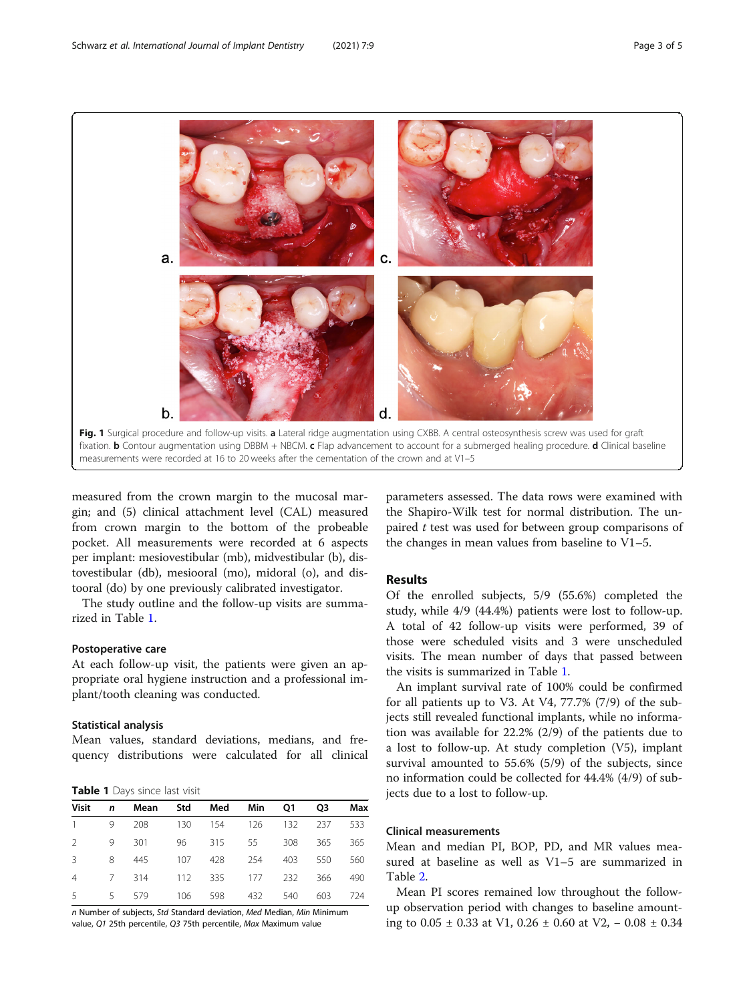<span id="page-2-0"></span>

measurements were recorded at 16 to 20 weeks after the cementation of the crown and at V1–5

measured from the crown margin to the mucosal margin; and (5) clinical attachment level (CAL) measured from crown margin to the bottom of the probeable pocket. All measurements were recorded at 6 aspects per implant: mesiovestibular (mb), midvestibular (b), distovestibular (db), mesiooral (mo), midoral (o), and distooral (do) by one previously calibrated investigator.

The study outline and the follow-up visits are summarized in Table 1.

## Postoperative care

At each follow-up visit, the patients were given an appropriate oral hygiene instruction and a professional implant/tooth cleaning was conducted.

## Statistical analysis

Mean values, standard deviations, medians, and frequency distributions were calculated for all clinical

Table 1 Days since last visit

|             | Visit n Mean Std Med Min Q1 Q3 Max |  |  |     |
|-------------|------------------------------------|--|--|-----|
|             | 1 9 208 130 154 126 132 237 533    |  |  |     |
| $2^{\circ}$ | 9 301 96 315 55 308 365            |  |  | 365 |
|             | 3 8 445 107 428 254 403 550        |  |  | 560 |
|             | 4 7 314 112 335 177 232 366        |  |  | 490 |
|             | 5 5 579 106 598 432 540 603 724    |  |  |     |

n Number of subjects, Std Standard deviation, Med Median, Min Minimum value, Q1 25th percentile, Q3 75th percentile, Max Maximum value

parameters assessed. The data rows were examined with the Shapiro-Wilk test for normal distribution. The unpaired t test was used for between group comparisons of the changes in mean values from baseline to V1–5.

## Results

Of the enrolled subjects, 5/9 (55.6%) completed the study, while 4/9 (44.4%) patients were lost to follow-up. A total of 42 follow-up visits were performed, 39 of those were scheduled visits and 3 were unscheduled visits. The mean number of days that passed between the visits is summarized in Table 1.

An implant survival rate of 100% could be confirmed for all patients up to V3. At V4, 77.7% (7/9) of the subjects still revealed functional implants, while no information was available for 22.2% (2/9) of the patients due to a lost to follow-up. At study completion (V5), implant survival amounted to 55.6% (5/9) of the subjects, since no information could be collected for 44.4% (4/9) of subjects due to a lost to follow-up.

## Clinical measurements

Mean and median PI, BOP, PD, and MR values measured at baseline as well as V1–5 are summarized in Table [2.](#page-3-0)

Mean PI scores remained low throughout the followup observation period with changes to baseline amounting to 0.05 ± 0.33 at V1, 0.26 ± 0.60 at V2, − 0.08 ± 0.34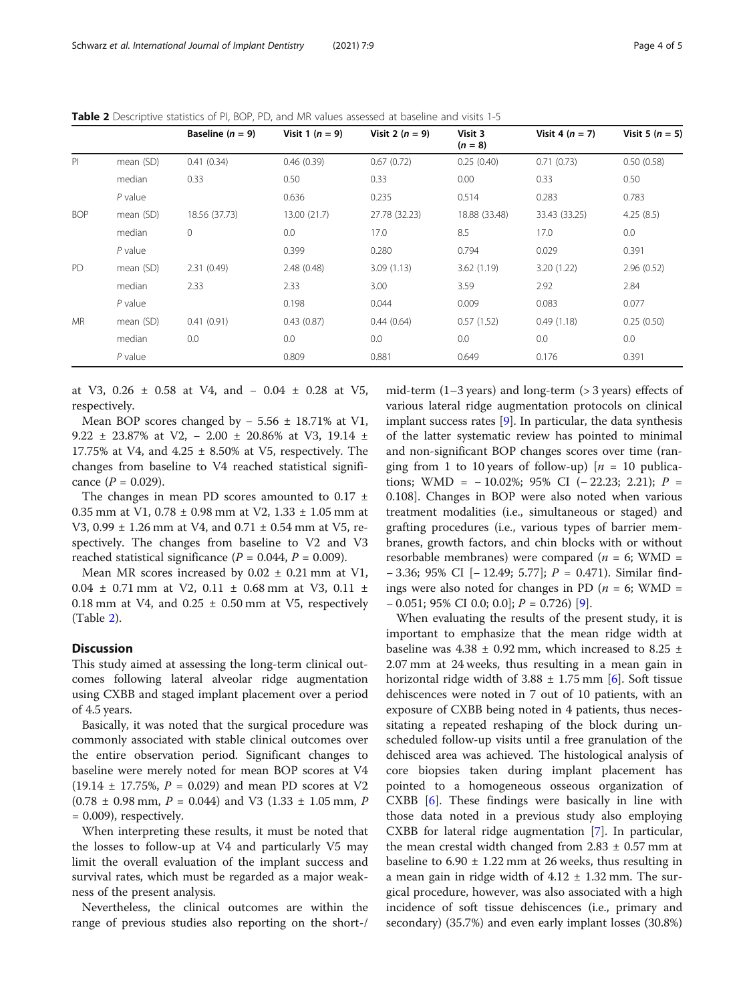<span id="page-3-0"></span>Table 2 Descriptive statistics of PI, BOP, PD, and MR values assessed at baseline and visits 1-5

|            |           | Baseline $(n = 9)$ | Visit 1 $(n = 9)$ | Visit 2 $(n = 9)$ | Visit 3<br>$(n = 8)$ | Visit 4 $(n = 7)$ | Visit 5 $(n = 5)$ |
|------------|-----------|--------------------|-------------------|-------------------|----------------------|-------------------|-------------------|
| PI         | mean (SD) | 0.41(0.34)         | 0.46(0.39)        | 0.67(0.72)        | 0.25(0.40)           | 0.71(0.73)        | 0.50(0.58)        |
|            | median    | 0.33               | 0.50              | 0.33              | 0.00                 | 0.33              | 0.50              |
|            | $P$ value |                    | 0.636             | 0.235             | 0.514                | 0.283             | 0.783             |
| <b>BOP</b> | mean (SD) | 18.56 (37.73)      | 13.00 (21.7)      | 27.78 (32.23)     | 18.88 (33.48)        | 33.43 (33.25)     | 4.25(8.5)         |
|            | median    | $\mathbf{0}$       | 0.0               | 17.0              | 8.5                  | 17.0              | 0.0               |
|            | $P$ value |                    | 0.399             | 0.280             | 0.794                | 0.029             | 0.391             |
| <b>PD</b>  | mean (SD) | 2.31(0.49)         | 2.48(0.48)        | 3.09(1.13)        | 3.62(1.19)           | 3.20(1.22)        | 2.96(0.52)        |
|            | median    | 2.33               | 2.33              | 3.00              | 3.59                 | 2.92              | 2.84              |
|            | $P$ value |                    | 0.198             | 0.044             | 0.009                | 0.083             | 0.077             |
| <b>MR</b>  | mean (SD) | 0.41(0.91)         | 0.43(0.87)        | 0.44(0.64)        | 0.57(1.52)           | 0.49(1.18)        | 0.25(0.50)        |
|            | median    | 0.0                | 0.0               | 0.0               | 0.0                  | 0.0               | 0.0               |
|            | $P$ value |                    | 0.809             | 0.881             | 0.649                | 0.176             | 0.391             |

at V3, 0.26 ± 0.58 at V4, and − 0.04 ± 0.28 at V5, respectively.

Mean BOP scores changed by − 5.56 ± 18.71% at V1, 9.22 ± 23.87% at V2, − 2.00 ± 20.86% at V3, 19.14 ± 17.75% at V4, and  $4.25 \pm 8.50$ % at V5, respectively. The changes from baseline to V4 reached statistical significance  $(P = 0.029)$ .

The changes in mean PD scores amounted to 0.17  $\pm$ 0.35 mm at V1,  $0.78 \pm 0.98$  mm at V2,  $1.33 \pm 1.05$  mm at V3,  $0.99 \pm 1.26$  mm at V4, and  $0.71 \pm 0.54$  mm at V5, respectively. The changes from baseline to V2 and V3 reached statistical significance ( $P = 0.044$ ,  $P = 0.009$ ).

Mean MR scores increased by  $0.02 \pm 0.21$  mm at V1, 0.04  $\pm$  0.71 mm at V2, 0.11  $\pm$  0.68 mm at V3, 0.11  $\pm$ 0.18 mm at V4, and 0.25  $\pm$  0.50 mm at V5, respectively (Table 2).

## **Discussion**

This study aimed at assessing the long-term clinical outcomes following lateral alveolar ridge augmentation using CXBB and staged implant placement over a period of 4.5 years.

Basically, it was noted that the surgical procedure was commonly associated with stable clinical outcomes over the entire observation period. Significant changes to baseline were merely noted for mean BOP scores at V4 (19.14  $\pm$  17.75%,  $P = 0.029$ ) and mean PD scores at V2  $(0.78 \pm 0.98 \text{ mm}, P = 0.044)$  and V3  $(1.33 \pm 1.05 \text{ mm}, P)$  $= 0.009$ , respectively.

When interpreting these results, it must be noted that the losses to follow-up at V4 and particularly V5 may limit the overall evaluation of the implant success and survival rates, which must be regarded as a major weakness of the present analysis.

Nevertheless, the clinical outcomes are within the range of previous studies also reporting on the short-/ mid-term  $(1-3$  years) and long-term  $(> 3$  years) effects of various lateral ridge augmentation protocols on clinical implant success rates  $[9]$  $[9]$ . In particular, the data synthesis of the latter systematic review has pointed to minimal and non-significant BOP changes scores over time (ranging from 1 to 10 years of follow-up)  $[n = 10 \text{ publica-}$ tions; WMD =  $-10.02\%$ ; 95% CI ( $-22.23$ ; 2.21); P = 0.108]. Changes in BOP were also noted when various treatment modalities (i.e., simultaneous or staged) and grafting procedures (i.e., various types of barrier membranes, growth factors, and chin blocks with or without resorbable membranes) were compared ( $n = 6$ ; WMD = − 3.36; 95% CI [− 12.49; 5.77]; P = 0.471). Similar findings were also noted for changes in PD ( $n = 6$ ; WMD =  $-0.051$ ; 95% CI 0.0; 0.0];  $P = 0.726$  [\[9](#page-4-0)].

When evaluating the results of the present study, it is important to emphasize that the mean ridge width at baseline was 4.38  $\pm$  0.92 mm, which increased to 8.25  $\pm$ 2.07 mm at 24 weeks, thus resulting in a mean gain in horizontal ridge width of  $3.88 \pm 1.75$  mm [\[6](#page-4-0)]. Soft tissue dehiscences were noted in 7 out of 10 patients, with an exposure of CXBB being noted in 4 patients, thus necessitating a repeated reshaping of the block during unscheduled follow-up visits until a free granulation of the dehisced area was achieved. The histological analysis of core biopsies taken during implant placement has pointed to a homogeneous osseous organization of CXBB [\[6](#page-4-0)]. These findings were basically in line with those data noted in a previous study also employing CXBB for lateral ridge augmentation [\[7](#page-4-0)]. In particular, the mean crestal width changed from  $2.83 \pm 0.57$  mm at baseline to  $6.90 \pm 1.22$  mm at 26 weeks, thus resulting in a mean gain in ridge width of  $4.12 \pm 1.32$  mm. The surgical procedure, however, was also associated with a high incidence of soft tissue dehiscences (i.e., primary and secondary) (35.7%) and even early implant losses (30.8%)